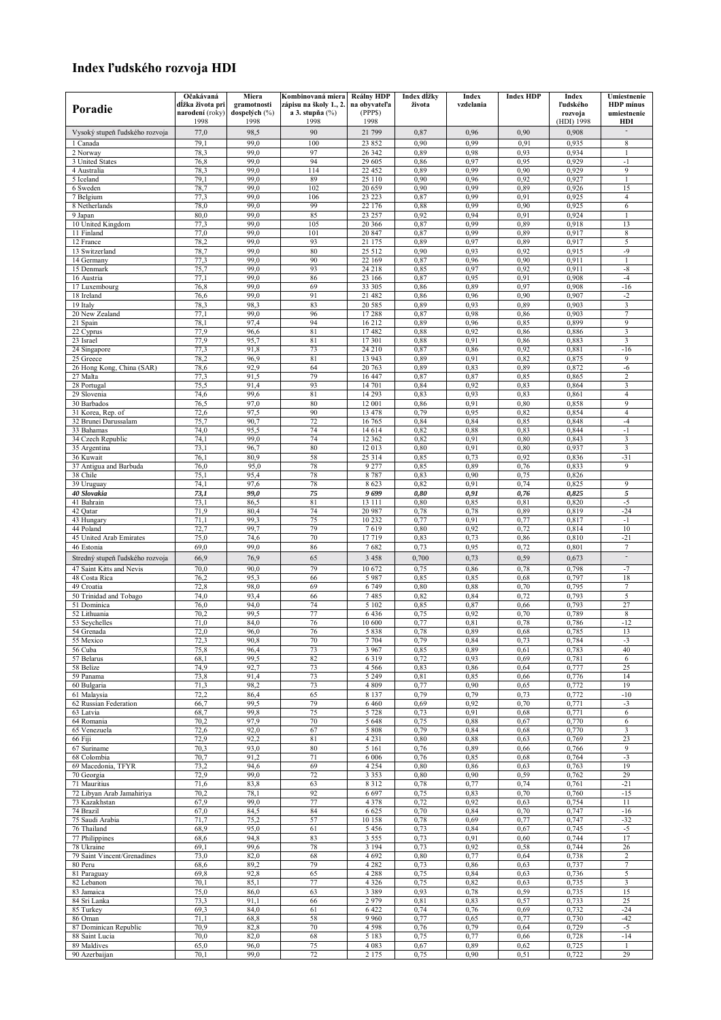## **Index ľudskÈho rozvoja HDI**

|                                    | Očakávaná                      | Miera                 | Kombinovaná miera          | <b>Reálny HDP</b>  | Index dĺžky  | Index        | <b>Index HDP</b> | Index          | Umiestnenie           |
|------------------------------------|--------------------------------|-----------------------|----------------------------|--------------------|--------------|--------------|------------------|----------------|-----------------------|
| Poradie                            | dĺžka života pri               | gramotnosti           | zápisu na školy 1., 2.     | na obvvateľa       | života       | vzdelania    |                  | Pudského       | <b>HDP</b> minus      |
|                                    | <b>narodení</b> (roky)<br>1998 | dospelých (%)<br>1998 | a 3. stupňa $(\%)$<br>1998 | (PPPS)<br>1998     |              |              |                  | rozvoja        | umiestnenie           |
|                                    |                                |                       |                            |                    |              |              |                  | (HDI) 1998     | HDI<br>$\overline{a}$ |
| Vysoký stupeň ľudského rozvoja     | 77,0                           | 98,5                  | 90                         | 21 799             | 0,87         | 0,96         | 0,90             | 0,908          |                       |
| 1 Canada                           | 79,1                           | 99.0                  | 100                        | 23 852             | 0,90         | 0,99         | 0,91             | 0,935          | $\,$ 8 $\,$           |
| 2 Norway                           | 78,3                           | 99.0                  | 97                         | 26 342             | 0,89         | 0,98         | 0.93             | 0,934          | $\mathbf{1}$          |
| 3 United States                    | 76,8                           | 99,0                  | 94                         | 29 605             | 0,86         | 0,97         | 0.95             | 0,929          | $-1$                  |
| 4 Australia                        | 78,3                           | 99.0                  | 114                        | 22 452             | 0,89         | 0,99         | 0,90             | 0,929          | 9<br>$\mathbf{1}$     |
| 5 Iceland<br>6 Sweden              | 79,1<br>78,7                   | 99,0<br>99,0          | 89<br>102                  | 25 110<br>20 659   | 0,90<br>0,90 | 0,96<br>0,99 | 0,92<br>0,89     | 0,927<br>0,926 | 15                    |
| 7 Belgium                          | 77,3                           | 99.0                  | 106                        | 23 223             | 0,87         | 0,99         | 0.91             | 0,925          | 4                     |
| 8 Netherlands                      | 78,0                           | 99.0                  | 99                         | 22 176             | 0.88         | 0,99         | 0,90             | 0,925          | 6                     |
| 9 Japan                            | 80,0                           | 99.0                  | 85                         | 23 257             | 0.92         | 0,94         | 0,91             | 0,924          | $\mathbf{1}$          |
| 10 United Kingdom                  | 77,3                           | 99,0                  | 105                        | 20 36 6            | 0,87         | 0,99         | 0,89             | 0,918          | 13                    |
| 11 Finland                         | 77,0                           | 99.0                  | 101                        | 20 847             | 0,87         | 0,99         | 0,89             | 0,917          | 8                     |
| 12 France                          | 78,2                           | 99.0                  | 93                         | 21 175             | 0,89         | 0,97         | 0,89             | 0,917          | 5                     |
| 13 Switzerland                     | 78,7                           | 99.0                  | 80                         | 25 5 12            | 0,90         | 0,93         | 0,92             | 0,915          | $-9$                  |
| 14 Germany                         | 77.3                           | 99,0                  | 90                         | 22 169             | 0,87         | 0,96         | 0,90             | 0,911          | $\mathbf{1}$          |
| 15 Denmark                         | 75,7                           | 99.0                  | 93                         | 24 218             | 0.85         | 0,97         | 0,92             | 0,911          | $-8$                  |
| 16 Austria                         | 77,1                           | 99.0                  | 86                         | 23 166             | 0,87         | 0,95         | 0.91             | 0,908          | $-4$                  |
| 17 Luxembourg                      | 76,8                           | 99,0                  | 69                         | 33 305             | 0,86         | 0,89         | 0,97             | 0,908          | $-16$                 |
| 18 Ireland                         | 76,6                           | 99,0                  | 91                         | 21 482             | 0,86         | 0,96         | 0,90             | 0,907          | $-2$                  |
| 19 Italy                           | 78,3                           | 98,3                  | 83                         | 20 5 8 5           | 0,89         | 0,93         | 0,89             | 0,903          | 3                     |
| 20 New Zealand                     | 77,1                           | 99.0<br>97,4          | 96<br>94                   | 17288<br>16 212    | 0,87<br>0,89 | 0,98<br>0,96 | 0,86<br>0,85     | 0,903<br>0,899 | $\overline{7}$<br>9   |
| 21 Spain<br>22 Cyprus              | 78,1<br>77,9                   | 96,6                  | 81                         | 17482              | 0,88         | 0,92         | 0,86             | 0,886          | 3                     |
| 23 Israel                          | 77,9                           | 95,7                  | 81                         | 17 301             | 0,88         | 0,91         | 0,86             | 0,883          | 3                     |
| 24 Singapore                       | 77.3                           | 91,8                  | 73                         | 24 210             | 0,87         | 0,86         | 0,92             | 0,881          | $-16$                 |
| 25 Greece                          | 78,2                           | 96.9                  | 81                         | 13 943             | 0,89         | 0,91         | 0,82             | 0,875          | 9                     |
| 26 Hong Kong, China (SAR)          | 78,6                           | 92,9                  | 64                         | 20 763             | 0,89         | 0,83         | 0,89             | 0,872          | $-6$                  |
| 27 Malta                           | 77,3                           | 91,5                  | 79                         | 16 447             | 0,87         | 0,87         | 0,85             | 0,865          | $\overline{c}$        |
| 28 Portugal                        | 75,5                           | 91,4                  | 93                         | 14 701             | 0,84         | 0,92         | 0.83             | 0,864          | 3                     |
| 29 Slovenia                        | 74,6                           | 99,6                  | 81                         | 14 29 3            | 0.83         | 0,93         | 0.83             | 0,861          | 4                     |
| 30 Barbados                        | 76,5                           | 97,0                  | 80                         | 12 001             | 0,86         | 0,91         | 0,80             | 0,858          | $\overline{9}$        |
| 31 Korea, Rep. of                  | 72,6                           | 97,5                  | 90                         | 13 478             | 0,79         | 0,95         | 0,82             | 0,854          | $\overline{4}$        |
| 32 Brunei Darussalam               | 75,7                           | 90,7                  | 72                         | 16 765             | 0,84         | 0,84         | 0,85             | 0,848          | $-4$                  |
| 33 Bahamas                         | 74,0                           | 95,5                  | 74                         | 14 614             | 0,82         | 0,88         | 0.83             | 0,844          | $-1$                  |
| 34 Czech Republic                  | 74,1                           | 99,0                  | 74                         | 12 362             | 0,82         | 0,91         | 0,80             | 0,843          | 3                     |
| 35 Argentina                       | 73,1                           | 96,7                  | 80                         | 12 013             | 0,80         | 0,91         | 0,80             | 0,937          | 3                     |
| 36 Kuwait                          | 76,1                           | 80,9<br>95,0          | 58<br>78                   | 25 314<br>9 2 7 7  | 0.85<br>0.85 | 0,73<br>0,89 | 0,92             | 0,836          | $-31$<br>9            |
| 37 Antigua and Barbuda<br>38 Chile | 76,0<br>75,1                   | 95,4                  | 78                         | 8787               | 0.83         | 0,90         | 0,76<br>0,75     | 0,833<br>0,826 |                       |
| 39 Uruguay                         | 74,1                           | 97,6                  | 78                         | 8623               | 0,82         | 0,91         | 0,74             | 0,825          | $\mathbf{Q}$          |
| 40 Slovakia                        | 73,1                           | 99,0                  | 75                         | 9699               | 0,80         | 0,91         | 0,76             | 0,825          | 5                     |
| 41 Bahrain                         | 73,1                           | 86,5                  | 81                         | 13 111             | 0,80         | 0,85         | 0,81             | 0,820          | -5                    |
| 42 Oatar                           | 71,9                           | 80.4                  | 74                         | 20 987             | 0,78         | 0,78         | 0,89             | 0,819          | $-24$                 |
| 43 Hungary                         | 71,1                           | 99.3                  | 75                         | 10 232             | 0,77         | 0,91         | 0,77             | 0,817          | $-1$                  |
| 44 Poland                          | 72,7                           | 99.7                  | 79                         | 7619               | 0,80         | 0,92         | 0,72             | 0,814          | 10                    |
| 45 United Arab Emirates            | 75,0                           | 74,6                  | 70                         | 17719              | 0,83         | 0,73         | 0,86             | 0,810          | $-21$                 |
| 46 Estonia                         | 69,0                           | 99.0                  | 86                         | 7682               | 0.73         | 0,95         | 0,72             | 0,801          | $\tau$                |
| Stredný stupeň ľudského rozvoja    | 66,9                           | 76,9                  | 65                         | 3 4 5 8            | 0,700        | 0,73         | 0,59             | 0,673          | $\overline{a}$        |
| 47 Saint Kitts and Nevis           | 70.0                           | 90.0                  | 79                         | 10 672             | 0,75         | 0,86         | 0.78             | 0,798          | $-7$                  |
| 48 Costa Rica                      | 76,2                           | 95,3                  | 66                         | 5987               | 0,85         | 0,85         | 0.68             | 0,797          | 18                    |
| 49 Croatia                         | 72,8                           | 98,0                  | 69                         | 6 7 4 9            | 0,80         | 0,88         | 0,70             | 0,795          | 7                     |
| 50 Trinidad and Tobago             | 74,0                           | 93,4                  | 66                         | 7485               | 0,82         | 0,84         | 0,72             | 0,793          | 5                     |
| 51 Dominica                        | 76,0                           | 94,0                  | 74                         | 5 1 0 2            | 0.85         | 0,87         | 0,66             | 0,793          | 27                    |
| 52 Lithuania                       | 70,2                           | 99,5                  | 77                         | 6436               | 0,75         | 0,92         | 0,70             | 0,789          | 8                     |
| 53 Seychelles                      | 71,0                           | 84,0                  | 76                         | 10 600             | 0,77         | 0,81         | 0,78             | 0,786          | $-12$                 |
| 54 Grenada                         | 72,0                           | 96,0                  | 76                         | 5838               | 0.78         | 0,89         | 0.68             | 0,785          | 13                    |
| 55 Mexico                          | 72,3                           | 90,8                  | 70                         | 7 7 0 4            | 0,79         | 0,84         | 0,73             | 0,784          | $-3$                  |
| 56 Cuba                            | 75,8                           | 96,4<br>99,5          | 73                         | 3 9 6 7            | 0.85         | 0,89<br>0,93 | 0,61             | 0,783          | 40                    |
| 57 Belarus<br>58 Belize            | 68,1<br>74,9                   | 92,7                  | 82<br>73                   | 6319<br>4 5 6 6    | 0,72<br>0,83 | 0,86         | 0,69<br>0,64     | 0,781<br>0,777 | 6<br>25               |
| 59 Panama                          | 73,8                           | 91,4                  | 73                         | 5 2 4 9            | 0,81         | 0,85         | 0,66             | 0,776          | 14                    |
| 60 Bulgaria                        | 71,3                           | 98,2                  | 73                         | 4809               | 0,77         | 0,90         | 0,65             | 0,772          | 19                    |
| 61 Malaysia                        | 72,2                           | 86,4                  | 65                         | 8 1 3 7            | 0,79         | 0,79         | 0.73             | 0,772          | $-10$                 |
| 62 Russian Federation              | 66,7                           | 99,5                  | 79                         | 6 4 6 0            | 0.69         | 0,92         | 0,70             | 0,771          | $-3$                  |
| 63 Latvia                          | 68,7                           | 99,8                  | 75                         | 5 7 2 8            | 0,73         | 0,91         | 0.68             | 0,771          | 6                     |
| 64 Romania                         | 70,2                           | 97,9                  | 70                         | 5 6 4 8            | 0,75         | 0,88         | 0.67             | 0,770          | 6                     |
| 65 Venezuela                       | 72,6                           | 92,0                  | 67                         | 5 8 0 8            | 0,79         | 0,84         | 0,68             | 0,770          | 3                     |
| 66 Fiji                            | 72,9                           | 92,2                  | 81                         | 4 2 3 1            | 0,80         | 0,88         | 0,63             | 0,769          | 23                    |
| 67 Suriname                        | 70,3                           | 93,0                  | 80                         | 5 1 6 1            | 0,76         | 0,89         | 0,66             | 0,766          | 9                     |
| 68 Colombia                        | 70,7                           | 91,2                  | 71                         | 6 0 0 6            | 0,76         | 0,85         | 0,68             | 0,764          | $-3$                  |
| 69 Macedonia, TFYR                 | 73,2                           | 94,6                  | 69                         | 4 2 5 4            | 0,80         | 0,86         | 0.63             | 0,763          | 19                    |
| 70 Georgia<br>71 Mauritius         | 72,9<br>71,6                   | 99,0<br>83,8          | 72<br>63                   | 3 3 5 3<br>8 3 1 2 | 0,80<br>0,78 | 0,90<br>0,77 | 0,59<br>0,74     | 0,762<br>0,761 | 29<br>$-21$           |
| 72 Libyan Arab Jamahiriya          | 70,2                           | 78,1                  | 92                         | 6697               | 0,75         | 0,83         | 0,70             | 0,760          | $-15$                 |
| 73 Kazakhstan                      | 67,9                           | 99,0                  | 77                         | 4 3 7 8            | 0,72         | 0,92         | 0,63             | 0,754          | 11                    |
| 74 Brazil                          | 67,0                           | 84,5                  | 84                         | 6 6 2 5            | 0,70         | 0,84         | 0,70             | 0,747          | $-16$                 |
| 75 Saudi Arabia                    | 71,7                           | 75,2                  | 57                         | 10 158             | 0,78         | 0,69         | 0,77             | 0,747          | $-32$                 |
| 76 Thailand                        | 68,9                           | 95,0                  | 61                         | 5456               | 0.73         | 0,84         | 0,67             | 0,745          | $-5$                  |
| 77 Philippines                     | 68,6                           | 94.8                  | 83                         | 3 5 5 5            | 0,73         | 0,91         | 0,60             | 0,744          | 17                    |
| 78 Ukraine                         | 69,1                           | 99,6                  | 78                         | 3 1 9 4            | 0,73         | 0,92         | 0,58             | 0,744          | 26                    |
| 79 Saint Vincent/Grenadines        | 73,0                           | 82,0                  | 68                         | 4692               | 0,80         | 0,77         | 0,64             | 0,738          | $\overline{c}$        |
| 80 Peru                            | 68,6                           | 89,2                  | 79                         | 4 2 8 2            | 0,73         | 0,86         | 0.63             | 0,737          | 7                     |
| 81 Paraguay                        | 69.8                           | 92,8                  | 65                         | 4 2 8 8            | 0.75         | 0,84         | 0.63             | 0,736          | 5                     |
| 82 Lebanon                         | 70,1                           | 85,1                  | 77                         | 4 3 2 6            | 0,75         | 0,82         | 0,63             | 0,735          | 3                     |
| 83 Jamaica                         | 75,0                           | 86,0                  | 63                         | 3 3 8 9            | 0,93         | 0,78         | 0,59             | 0,735          | 15                    |
| 84 Sri Lanka                       | 73,3                           | 91,1                  | 66                         | 2979               | 0,81         | 0,83         | 0,57             | 0,733          | 25                    |
| 85 Turkey                          | 69,3                           | 84,0                  | 61                         | 6 4 2 2            | 0,74         | 0,76         | 0.69             | 0,732          | $-24$                 |
| 86 Oman                            | 71,1                           | 68,8                  | 58                         | 9 9 6 0            | 0,77         | 0,65         | 0,77             | 0,730          | $-42$                 |
| 87 Dominican Republic              | 70,9                           | 82,8                  | 70                         | 4 5 9 8            | 0,76         | 0,79         | 0,64             | 0,729          | $-5$                  |
| 88 Saint Lucia<br>89 Maldives      | 70,0<br>65,0                   | 82,0<br>96,0          | 68<br>75                   | 5 1 8 3<br>4 0 8 3 | 0,75<br>0,67 | 0,77<br>0,89 | 0,66<br>0,62     | 0,728<br>0,725 | $-14$<br>-1           |
| 90 Azerbaijan                      | 70,1                           | 99,0                  | 72                         | 2 1 7 5            | 0,75         | 0,90         | 0,51             | 0,722          | 29                    |